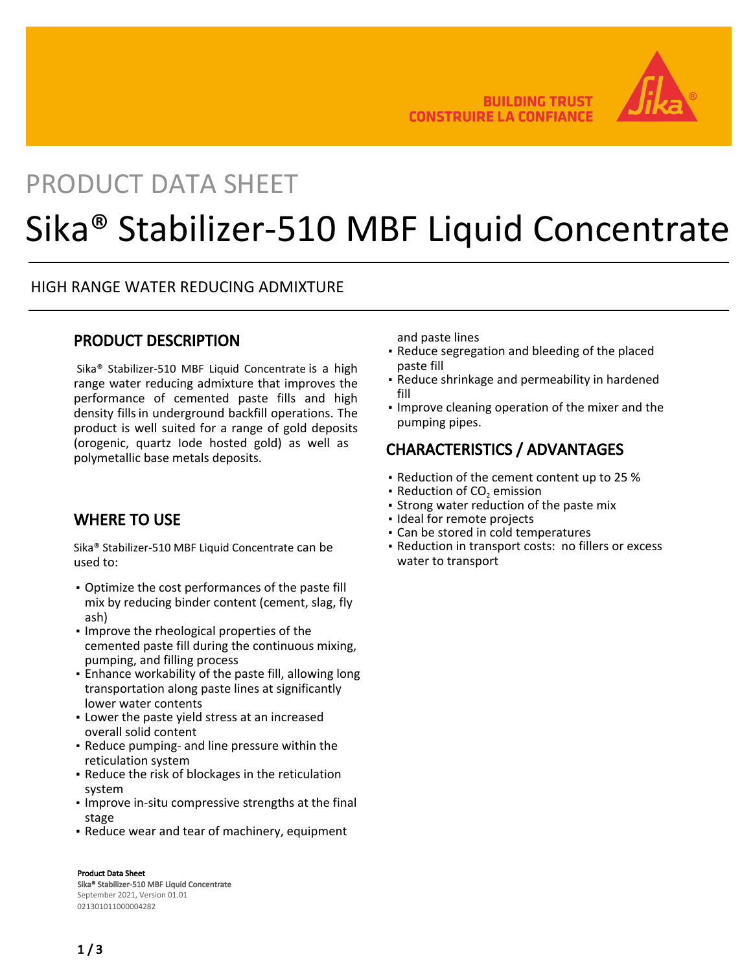

## PRODUCT DATA SHEET

# Sika® Stabilizer-510 MBF Liquid Concentrate

#### HIGH RANGE WATER REDUCING ADMIXTURE

#### PRODUCT DESCRIPTION

Sika® Stabilizer-510 MBF Liquid Concentrate is a high range water reducing admixture that improves the performance of cemented paste fills and high density fills in underground backfill operations. The product is well suited for a range of gold deposits (orogenic, quartz Iode hosted gold) as well as polymetallic base metals deposits.

#### WHERE TO USE

Sika® Stabilizer-510 MBF Liquid Concentrate can be used to:

- Optimize the cost performances of the paste fill mix by reducing binder content (cement, slag, fly ash)
- **.** Improve the rheological properties of the cemented paste fill during the continuous mixing, pumping, and filling process
- Enhance workability of the paste fill, allowing long transportation along paste lines at significantly lower water contents
- **.** Lower the paste yield stress at an increased overall solid content
- **Reduce pumping- and line pressure within the** reticulation system
- **Reduce the risk of blockages in the reticulation** system
- **.** Improve in-situ compressive strengths at the final stage
- Reduce wear and tear of machinery, equipment

#### Product Data Sheet

Sika® Stabilizer-510 MBF Liquid Concentrate September 2021, Version 01.01 021301011000004282

and paste lines

- **Reduce segregation and bleeding of the placed** paste fill
- Reduce shrinkage and permeability in hardened fill
- **.** Improve cleaning operation of the mixer and the pumping pipes.

## CHARACTERISTICS / ADVANTAGES

- Reduction of the cement content up to 25 %
- **Reduction of CO<sub>2</sub> emission**
- Strong water reduction of the paste mix
- Ideal for remote projects
- Can be stored in cold temperatures
- Reduction in transport costs: no fillers or excess water to transport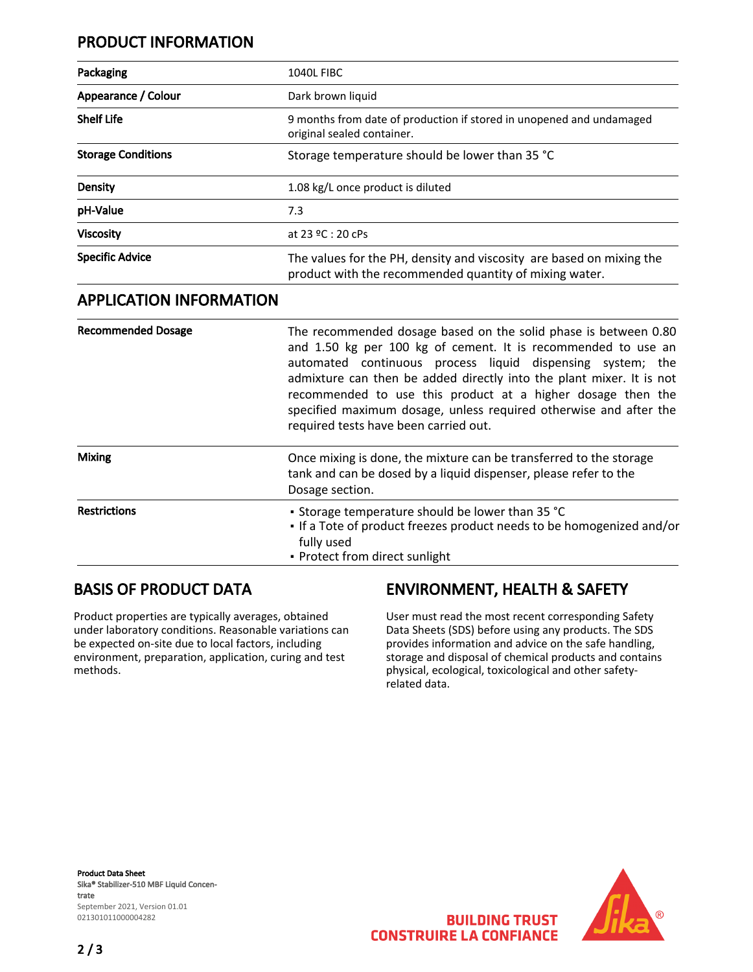## PRODUCT INFORMATION

| Packaging                    | <b>1040L FIBC</b>                                                                                                              |
|------------------------------|--------------------------------------------------------------------------------------------------------------------------------|
| Appearance / Colour          | Dark brown liquid                                                                                                              |
| <b>Shelf Life</b>            | 9 months from date of production if stored in unopened and undamaged<br>original sealed container.                             |
| <b>Storage Conditions</b>    | Storage temperature should be lower than 35 °C                                                                                 |
| Density                      | 1.08 kg/L once product is diluted                                                                                              |
| pH-Value                     | 7.3                                                                                                                            |
| <b>Viscosity</b>             | at 23 $9C:20C$ Ps                                                                                                              |
| <b>Specific Advice</b>       | The values for the PH, density and viscosity are based on mixing the<br>product with the recommended quantity of mixing water. |
| A DDI ICATIONI INFODNAATIONI |                                                                                                                                |

#### APPLICATION INFORMATION

| <b>Recommended Dosage</b> | The recommended dosage based on the solid phase is between 0.80<br>and 1.50 kg per 100 kg of cement. It is recommended to use an<br>automated continuous process liquid dispensing system; the<br>admixture can then be added directly into the plant mixer. It is not<br>recommended to use this product at a higher dosage then the<br>specified maximum dosage, unless required otherwise and after the<br>required tests have been carried out. |
|---------------------------|-----------------------------------------------------------------------------------------------------------------------------------------------------------------------------------------------------------------------------------------------------------------------------------------------------------------------------------------------------------------------------------------------------------------------------------------------------|
| <b>Mixing</b>             | Once mixing is done, the mixture can be transferred to the storage<br>tank and can be dosed by a liquid dispenser, please refer to the<br>Dosage section.                                                                                                                                                                                                                                                                                           |
| <b>Restrictions</b>       | • Storage temperature should be lower than 35 °C<br>. If a Tote of product freezes product needs to be homogenized and/or<br>fully used<br>• Protect from direct sunlight                                                                                                                                                                                                                                                                           |

#### BASIS OF PRODUCT DATA

Product properties are typically averages, obtained under laboratory conditions. Reasonable variations can be expected on-site due to local factors, including environment, preparation, application, curing and test methods.

## ENVIRONMENT, HEALTH & SAFETY

User must read the most recent corresponding Safety Data Sheets (SDS) before using any products. The SDS provides information and advice on the safe handling, storage and disposal of chemical products and contains physical, ecological, toxicological and other safetyrelated data.

Product Data Sheet Sika® Stabilizer-510 MBF Liquid Concentrate September 2021, Version 01.01 021301011000004282



**BUILDING TRUST CONSTRUIRE LA CONFIANCE**